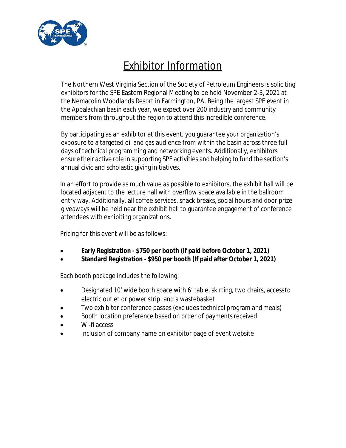

## Exhibitor Information

The Northern West Virginia Section of the Society of Petroleum Engineers is soliciting exhibitors for the SPE Eastern Regional Meeting to be held November 2-3, 2021 at the Nemacolin Woodlands Resort in Farmington, PA. Being the largest SPE event in the Appalachian basin each year, we expect over 200 industry and community members from throughout the region to attend this incredible conference.

By participating as an exhibitor at this event, you guarantee your organization's exposure to a targeted oil and gas audience from within the basin across three full days of technical programming and networking events. Additionally, exhibitors ensure their active role in supporting SPE activities and helping to fund the section's annual civic and scholastic giving initiatives.

In an effort to provide as much value as possible to exhibitors, the exhibit hall will be located adjacent to the lecture hall with overflow space available in the ballroom entry way. Additionally, all coffee services, snack breaks, social hours and door prize giveaways will be held near the exhibit hall to guarantee engagement of conference attendees with exhibiting organizations.

Pricing for this event will be as follows:

- · **Early Registration \$750 per booth (If paid before October 1, 2021)**
- · **Standard Registration \$950 per booth (If paid after October 1, 2021)**

Each booth package includes the following:

- · Designated 10' wide booth space with 6' table, skirting, two chairs, access to electric outlet or power strip, and a wastebasket
- Two exhibitor conference passes (excludes technical program and meals)
- Booth location preference based on order of payments received
- Wi-fi access
- Inclusion of company name on exhibitor page of event website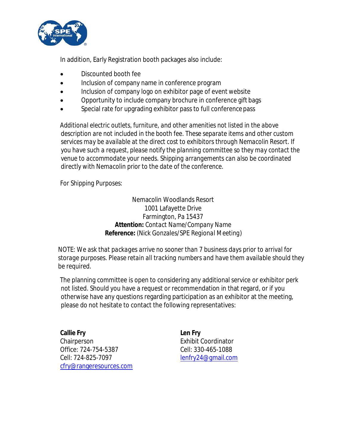

In addition, Early Registration booth packages also include:

- Discounted booth fee
- · Inclusion of company name in conference program
- Inclusion of company logo on exhibitor page of event website
- · Opportunity to include company brochure in conference gift bags
- Special rate for upgrading exhibitor pass to full conference pass

*Additional electric outlets, furniture, and other amenities not listed in the above description are not included in the booth fee. These separate items and other custom services may be available at the direct cost to exhibitors through Nemacolin Resort. If you have such a request, please notify the planning committee so they may contact the venue to accommodate your needs. Shipping arrangements can also be coordinated directly with Nemacolin prior to the date of the conference.*

*For Shipping Purposes:*

Nemacolin Woodlands Resort 1001 Lafayette Drive Farmington, Pa 15437 **Attention:** *Contact Name/Company Name* **Reference:** (Nick Gonzales*/SPE Regional Meeting*)

*NOTE: We ask that packages arrive no sooner than 7 business days prior to arrival for storage purposes. Please retain all tracking numbers and have them available should they be required.*

The planning committee is open to considering any additional service or exhibitor perk not listed. Should you have a request or recommendation in that regard, or if you otherwise have any questions regarding participation as an exhibitor at the meeting, please do not hesitate to contact the following representatives:

**Callie Fry Chairperson** Office: 724-754-5387 Cell: 724-825-7097 cfry@rangeresources.com **Len Fry** Exhibit Coordinator Cell: 330-465-1088 lenfry24@gmail.com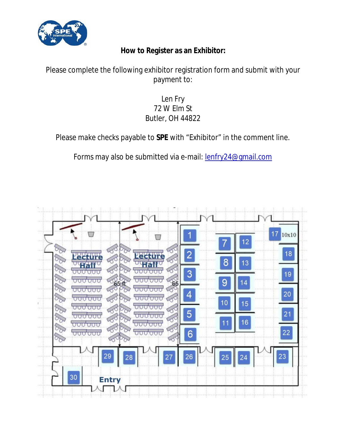

**How to Register as an Exhibitor:**

## Please complete the following exhibitor registration form and submit with your payment to:

## Len Fry 72 W Elm St Butler, OH 44822

Please make checks payable to **SPE** with "Exhibitor" in the comment line.

Forms may also be submitted via e-mail: **lenfry24@gmail.com**